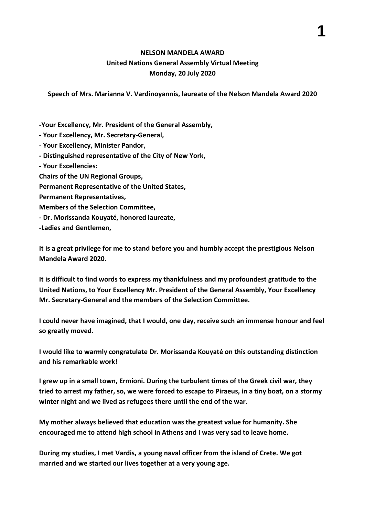## **NELSON MANDELA AWARD United Nations General Assembly Virtual Meeting Monday, 20 July 2020**

**Speech of Mrs. Marianna V. Vardinoyannis, laureate of the Nelson Mandela Award 2020**

**-Your Excellency, Mr. President of the General Assembly,**

**- Your Excellency, Mr. Secretary-General,**

**- Your Excellency, Minister Pandor,**

**- Distinguished representative of the City of New York,**

**- Your Excellencies:**

**Chairs of the UN Regional Groups,** 

**Permanent Representative of the United States,**

**Permanent Representatives,** 

**Members of the Selection Committee,**

**- Dr. Morissanda Kouyaté, honored laureate,**

**-Ladies and Gentlemen,** 

**It is a great privilege for me to stand before you and humbly accept the prestigious Nelson Mandela Award 2020.**

**It is difficult to find words to express my thankfulness and my profoundest gratitude to the United Nations, to Your Excellency Mr. President of the General Assembly, Your Excellency Mr. Secretary-General and the members of the Selection Committee.**

**I could never have imagined, that I would, one day, receive such an immense honour and feel so greatly moved.**

**I would like to warmly congratulate Dr. Morissanda Kouyaté on this outstanding distinction and his remarkable work!**

**I grew up in a small town, Ermioni. During the turbulent times of the Greek civil war, they tried to arrest my father, so, we were forced to escape to Piraeus, in a tiny boat, on a stormy winter night and we lived as refugees there until the end of the war.**

**My mother always believed that education was the greatest value for humanity. She encouraged me to attend high school in Athens and I was very sad to leave home.** 

**During my studies, I met Vardis, a young naval officer from the island of Crete. We got married and we started our lives together at a very young age.**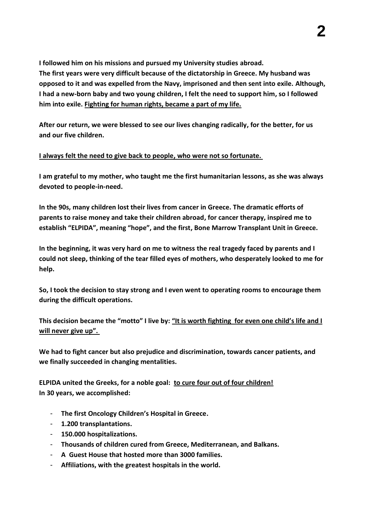**I followed him on his missions and pursued my University studies abroad. The first years were very difficult because of the dictatorship in Greece. My husband was opposed to it and was expelled from the Navy, imprisoned and then sent into exile. Although, I had a new-born baby and two young children, I felt the need to support him, so I followed him into exile. Fighting for human rights, became a part of my life.** 

**After our return, we were blessed to see our lives changing radically, for the better, for us and our five children.**

## **I always felt the need to give back to people, who were not so fortunate.**

**I am grateful to my mother, who taught me the first humanitarian lessons, as she was always devoted to people-in-need.**

**In the 90s, many children lost their lives from cancer in Greece. The dramatic efforts of parents to raise money and take their children abroad, for cancer therapy, inspired me to establish "ELPIDA", meaning "hope", and the first, Bone Marrow Transplant Unit in Greece.** 

**In the beginning, it was very hard on me to witness the real tragedy faced by parents and I could not sleep, thinking of the tear filled eyes of mothers, who desperately looked to me for help.** 

**So, I took the decision to stay strong and I even went to operating rooms to encourage them during the difficult operations.**

**This decision became the "motto" I live by: "It is worth fighting for even one child's life and I will never give up".**

**We had to fight cancer but also prejudice and discrimination, towards cancer patients, and we finally succeeded in changing mentalities.** 

**ELPIDA united the Greeks, for a noble goal: to cure four out of four children! In 30 years, we accomplished:** 

- **The first Oncology Children's Hospital in Greece.**
- **1.200 transplantations.**
- **150.000 hospitalizations.**
- **Thousands of children cured from Greece, Mediterranean, and Balkans.**
- **A Guest House that hosted more than 3000 families.**
- **Affiliations, with the greatest hospitals in the world.**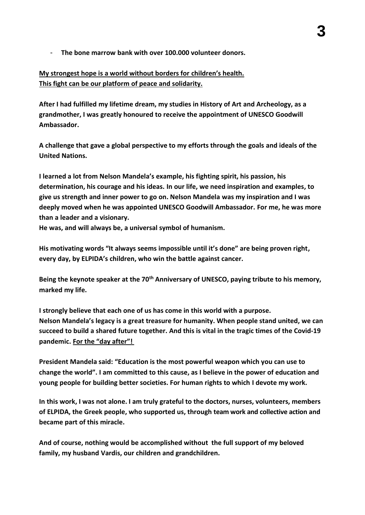- **The bone marrow bank with over 100.000 volunteer donors.**

## **My strongest hope is a world without borders for children's health. This fight can be our platform of peace and solidarity.**

**After I had fulfilled my lifetime dream, my studies in History of Art and Archeology, as a grandmother, I was greatly honoured to receive the appointment of UNESCO Goodwill Ambassador.** 

**A challenge that gave a global perspective to my efforts through the goals and ideals of the United Nations.**

**I learned a lot from Nelson Mandela's example, his fighting spirit, his passion, his determination, his courage and his ideas. In our life, we need inspiration and examples, to give us strength and inner power to go on. Nelson Mandela was my inspiration and I was deeply moved when he was appointed UNESCO Goodwill Ambassador. For me, he was more than a leader and a visionary.** 

**He was, and will always be, a universal symbol of humanism.** 

**His motivating words "It always seems impossible until it's done" are being proven right, every day, by ELPIDA's children, who win the battle against cancer.**

**Being the keynote speaker at the 70th Anniversary of UNESCO, paying tribute to his memory, marked my life.**

**I strongly believe that each one of us has come in this world with a purpose. Nelson Mandela's legacy is a great treasure for humanity. When people stand united, we can succeed to build a shared future together. And this is vital in the tragic times of the Covid-19 pandemic. For the "day after"!**

**President Mandela said: "Education is the most powerful weapon which you can use to change the world". I am committed to this cause, as I believe in the power of education and young people for building better societies. For human rights to which I devote my work.**

**In this work, I was not alone. I am truly grateful to the doctors, nurses, volunteers, members of ELPIDA, the Greek people, who supported us, through team work and collective action and became part of this miracle.**

**And of course, nothing would be accomplished without the full support of my beloved family, my husband Vardis, our children and grandchildren.**